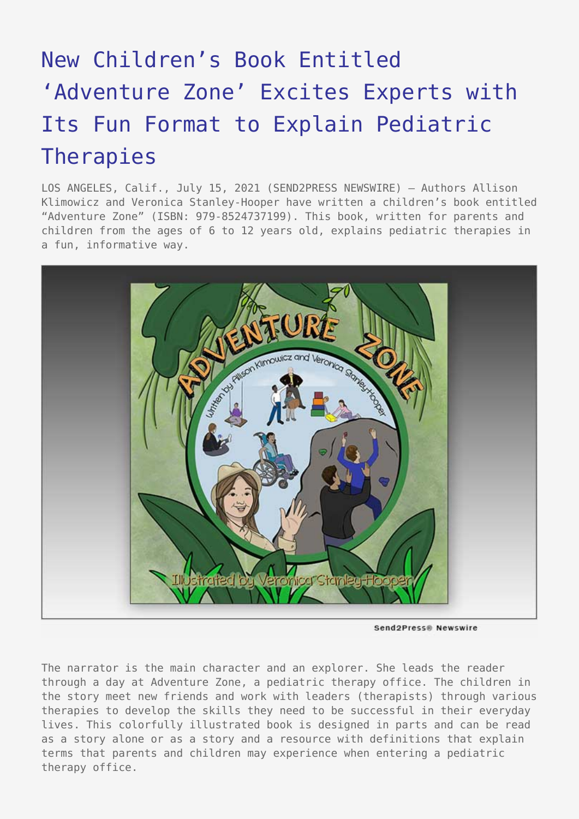## [New Children's Book Entitled](https://www.send2press.com/wire/new-childrens-book-entitled-adventure-zone-excites-experts-with-its-fun-format-to-explain-pediatric-therapies/) ['Adventure Zone' Excites Experts with](https://www.send2press.com/wire/new-childrens-book-entitled-adventure-zone-excites-experts-with-its-fun-format-to-explain-pediatric-therapies/) [Its Fun Format to Explain Pediatric](https://www.send2press.com/wire/new-childrens-book-entitled-adventure-zone-excites-experts-with-its-fun-format-to-explain-pediatric-therapies/) [Therapies](https://www.send2press.com/wire/new-childrens-book-entitled-adventure-zone-excites-experts-with-its-fun-format-to-explain-pediatric-therapies/)

LOS ANGELES, Calif., July 15, 2021 (SEND2PRESS NEWSWIRE) — Authors Allison Klimowicz and Veronica Stanley-Hooper have written a children's book entitled "Adventure Zone" (ISBN: 979-8524737199). This book, written for parents and children from the ages of 6 to 12 years old, explains pediatric therapies in a fun, informative way.



Send2Press® Newswire

The narrator is the main character and an explorer. She leads the reader through a day at Adventure Zone, a pediatric therapy office. The children in the story meet new friends and work with leaders (therapists) through various therapies to develop the skills they need to be successful in their everyday lives. This colorfully illustrated book is designed in parts and can be read as a story alone or as a story and a resource with definitions that explain terms that parents and children may experience when entering a pediatric therapy office.